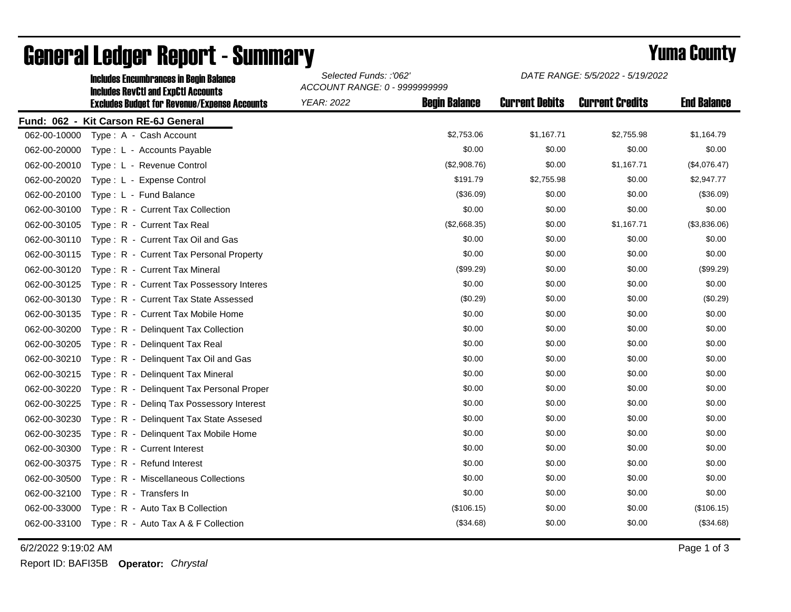|              | <b>Includes Encumbrances in Begin Balance</b><br><b>Includes RevCtI and ExpCtI Accounts</b><br><b>Excludes Budget for Revenue/Expense Accounts</b> | Selected Funds: :'062'<br>ACCOUNT RANGE: 0 - 9999999999 |                      | DATE RANGE: 5/5/2022 - 5/19/2022 |                        |                    |
|--------------|----------------------------------------------------------------------------------------------------------------------------------------------------|---------------------------------------------------------|----------------------|----------------------------------|------------------------|--------------------|
|              |                                                                                                                                                    | <b>YEAR: 2022</b>                                       | <b>Begin Balance</b> | <b>Current Debits</b>            | <b>Current Credits</b> | <b>End Balance</b> |
|              | Fund: 062 - Kit Carson RE-6J General                                                                                                               |                                                         |                      |                                  |                        |                    |
| 062-00-10000 | Type: A - Cash Account                                                                                                                             |                                                         | \$2,753.06           | \$1,167.71                       | \$2,755.98             | \$1,164.79         |
| 062-00-20000 | Type: L - Accounts Payable                                                                                                                         |                                                         | \$0.00               | \$0.00                           | \$0.00                 | \$0.00             |
| 062-00-20010 | Type: L - Revenue Control                                                                                                                          |                                                         | (\$2,908.76)         | \$0.00                           | \$1,167.71             | (\$4,076.47)       |
| 062-00-20020 | Type: L - Expense Control                                                                                                                          |                                                         | \$191.79             | \$2,755.98                       | \$0.00                 | \$2,947.77         |
| 062-00-20100 | Type: L - Fund Balance                                                                                                                             |                                                         | (\$36.09)            | \$0.00                           | \$0.00                 | (\$36.09)          |
| 062-00-30100 | Type: R - Current Tax Collection                                                                                                                   |                                                         | \$0.00               | \$0.00                           | \$0.00                 | \$0.00             |
| 062-00-30105 | Type: R - Current Tax Real                                                                                                                         |                                                         | (\$2,668.35)         | \$0.00                           | \$1,167.71             | (\$3,836.06)       |
| 062-00-30110 | Type: R - Current Tax Oil and Gas                                                                                                                  |                                                         | \$0.00               | \$0.00                           | \$0.00                 | \$0.00             |
| 062-00-30115 | Type: R - Current Tax Personal Property                                                                                                            |                                                         | \$0.00               | \$0.00                           | \$0.00                 | \$0.00             |
| 062-00-30120 | Type: R - Current Tax Mineral                                                                                                                      |                                                         | (\$99.29)            | \$0.00                           | \$0.00                 | (\$99.29)          |
| 062-00-30125 | Type: R - Current Tax Possessory Interes                                                                                                           |                                                         | \$0.00               | \$0.00                           | \$0.00                 | \$0.00             |
| 062-00-30130 | Type: R - Current Tax State Assessed                                                                                                               |                                                         | (\$0.29)             | \$0.00                           | \$0.00                 | (\$0.29)           |
| 062-00-30135 | Type: R - Current Tax Mobile Home                                                                                                                  |                                                         | \$0.00               | \$0.00                           | \$0.00                 | \$0.00             |
| 062-00-30200 | Type: R - Delinquent Tax Collection                                                                                                                |                                                         | \$0.00               | \$0.00                           | \$0.00                 | \$0.00             |
| 062-00-30205 | Type: R - Delinquent Tax Real                                                                                                                      |                                                         | \$0.00               | \$0.00                           | \$0.00                 | \$0.00             |
| 062-00-30210 | Type: R - Delinquent Tax Oil and Gas                                                                                                               |                                                         | \$0.00               | \$0.00                           | \$0.00                 | \$0.00             |
| 062-00-30215 | Type: R - Delinquent Tax Mineral                                                                                                                   |                                                         | \$0.00               | \$0.00                           | \$0.00                 | \$0.00             |
| 062-00-30220 | Type: R - Delinquent Tax Personal Proper                                                                                                           |                                                         | \$0.00               | \$0.00                           | \$0.00                 | \$0.00             |
| 062-00-30225 | Type: R - Deling Tax Possessory Interest                                                                                                           |                                                         | \$0.00               | \$0.00                           | \$0.00                 | \$0.00             |
| 062-00-30230 | Type: R - Delinquent Tax State Assesed                                                                                                             |                                                         | \$0.00               | \$0.00                           | \$0.00                 | \$0.00             |
| 062-00-30235 | Type: R - Delinquent Tax Mobile Home                                                                                                               |                                                         | \$0.00               | \$0.00                           | \$0.00                 | \$0.00             |
| 062-00-30300 | Type: R - Current Interest                                                                                                                         |                                                         | \$0.00               | \$0.00                           | \$0.00                 | \$0.00             |
| 062-00-30375 | Type: R - Refund Interest                                                                                                                          |                                                         | \$0.00               | \$0.00                           | \$0.00                 | \$0.00             |
| 062-00-30500 | Type: R - Miscellaneous Collections                                                                                                                |                                                         | \$0.00               | \$0.00                           | \$0.00                 | \$0.00             |
| 062-00-32100 | Type: R - Transfers In                                                                                                                             |                                                         | \$0.00               | \$0.00                           | \$0.00                 | \$0.00             |
| 062-00-33000 | Type: R - Auto Tax B Collection                                                                                                                    |                                                         | (\$106.15)           | \$0.00                           | \$0.00                 | (\$106.15)         |
| 062-00-33100 | Type: R - Auto Tax A & F Collection                                                                                                                |                                                         | (\$34.68)            | \$0.00                           | \$0.00                 | (\$34.68)          |

## General Ledger Report - Summary **Example 2018** Yuma County

6/2/2022 9:19:02 AM Page 1 of 3

Report ID: BAFI35B **Operator:** *Chrystal*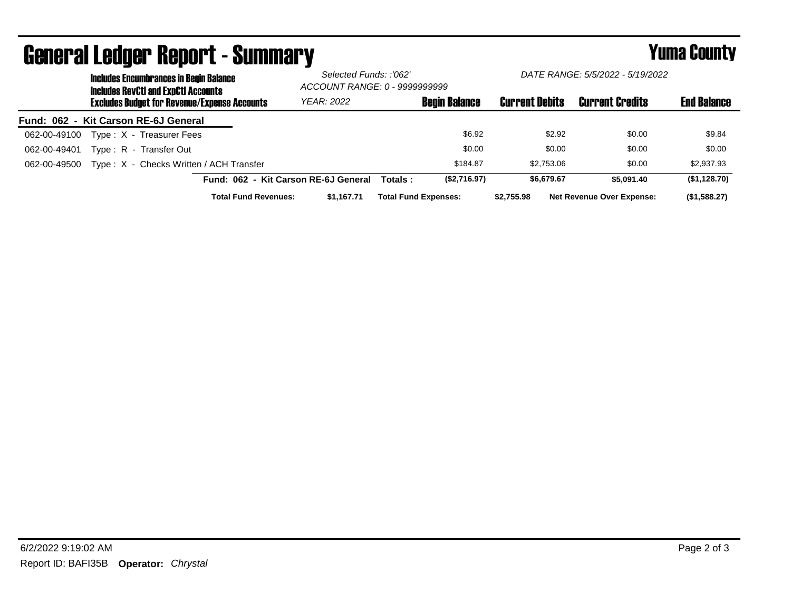| <b>Includes Encumbrances in Begin Balance</b><br><b>Includes RevCtI and ExpCtI Accounts</b> |                                      | Selected Funds:: '062'<br>ACCOUNT RANGE: 0 - 9999999999 |                       | DATE RANGE: 5/5/2022 - 5/19/2022 |                    |
|---------------------------------------------------------------------------------------------|--------------------------------------|---------------------------------------------------------|-----------------------|----------------------------------|--------------------|
| <b>Excludes Budget for Revenue/Expense Accounts</b>                                         | <b>YEAR: 2022</b>                    | <b>Begin Balance</b>                                    | <b>Current Debits</b> | <b>Current Credits</b>           | <b>End Balance</b> |
| Fund: 062 - Kit Carson RE-6J General                                                        |                                      |                                                         |                       |                                  |                    |
| Type: X - Treasurer Fees<br>062-00-49100                                                    |                                      | \$6.92                                                  | \$2.92                | \$0.00                           | \$9.84             |
| Type: R - Transfer Out<br>062-00-49401                                                      |                                      | \$0.00                                                  | \$0.00                | \$0.00                           | \$0.00             |
| Type: X - Checks Written / ACH Transfer<br>062-00-49500                                     |                                      | \$184.87                                                | \$2,753,06            | \$0.00                           | \$2,937.93         |
|                                                                                             | Fund: 062 - Kit Carson RE-6J General | (\$2,716.97)<br>Totals :                                | \$6.679.67            | \$5,091.40                       | (\$1,128.70)       |
| <b>Total Fund Revenues:</b>                                                                 | \$1.167.71                           | <b>Total Fund Expenses:</b>                             | \$2.755.98            | <b>Net Revenue Over Expense:</b> | (\$1,588.27)       |

## General Ledger Report - Summary **Example 2018** Yuma County